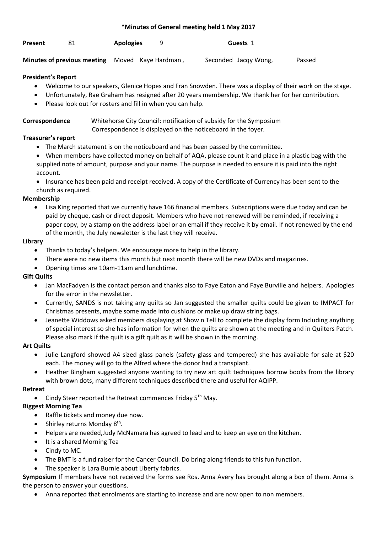#### **\*Minutes of General meeting held 1 May 2017**

| Present |  | <b>Apologies</b> |  | Guests 1 |
|---------|--|------------------|--|----------|
|---------|--|------------------|--|----------|

**Minutes of previous meeting** Moved Kaye Hardman, Seconded Jacqy Wong, Passed

# **President's Report**

- Welcome to our speakers, Glenice Hopes and Fran Snowden. There was a display of their work on the stage.
- Unfortunately, Rae Graham has resigned after 20 years membership. We thank her for her contribution.
- Please look out for rosters and fill in when you can help.

#### **Correspondence** Whitehorse City Council: notification of subsidy for the Symposium Correspondence is displayed on the noticeboard in the foyer.

### **Treasurer's report**

- The March statement is on the noticeboard and has been passed by the committee.
- When members have collected money on behalf of AQA, please count it and place in a plastic bag with the supplied note of amount, purpose and your name. The purpose is needed to ensure it is paid into the right account.
- Insurance has been paid and receipt received. A copy of the Certificate of Currency has been sent to the church as required.

# **Membership**

• Lisa King reported that we currently have 166 financial members. Subscriptions were due today and can be paid by cheque, cash or direct deposit. Members who have not renewed will be reminded, if receiving a paper copy, by a stamp on the address label or an email if they receive it by email. If not renewed by the end of the month, the July newsletter is the last they will receive.

### **Library**

- Thanks to today's helpers. We encourage more to help in the library.
- There were no new items this month but next month there will be new DVDs and magazines.
- Opening times are 10am-11am and lunchtime.

### **Gift Quilts**

- Jan MacFadyen is the contact person and thanks also to Faye Eaton and Faye Burville and helpers. Apologies for the error in the newsletter.
- Currently, SANDS is not taking any quilts so Jan suggested the smaller quilts could be given to IMPACT for Christmas presents, maybe some made into cushions or make up draw string bags.
- Jeanette Widdows asked members displaying at Show n Tell to complete the display form Including anything of special interest so she has information for when the quilts are shown at the meeting and in Quilters Patch. Please also mark if the quilt is a gift quilt as it will be shown in the morning.

### **Art Quilts**

- Julie Langford showed A4 sized glass panels (safety glass and tempered) she has available for sale at \$20 each. The money will go to the Alfred where the donor had a transplant.
- Heather Bingham suggested anyone wanting to try new art quilt techniques borrow books from the library with brown dots, many different techniques described there and useful for AQIPP.

### **Retreat**

Cindy Steer reported the Retreat commences Friday 5<sup>th</sup> May.

# **Biggest Morning Tea**

- Raffle tickets and money due now.
- $\bullet$  Shirley returns Monday  $8<sup>th</sup>$ .
- Helpers are needed,Judy McNamara has agreed to lead and to keep an eye on the kitchen.
- It is a shared Morning Tea
- Cindy to MC.
- The BMT is a fund raiser for the Cancer Council. Do bring along friends to this fun function.
- The speaker is Lara Burnie about Liberty fabrics.

**Symposium** If members have not received the forms see Ros. Anna Avery has brought along a box of them. Anna is the person to answer your questions.

• Anna reported that enrolments are starting to increase and are now open to non members.